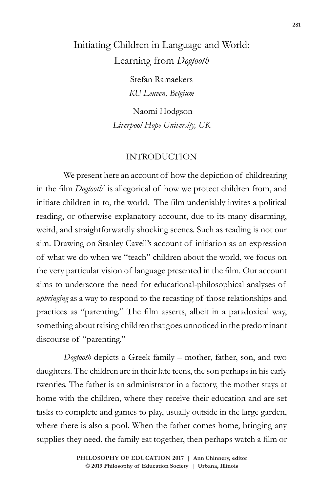# Initiating Children in Language and World: Learning from *Dogtooth*

Stefan Ramaekers *KU Leuven, Belgium*

 Naomi Hodgson *Liverpool Hope University, UK*

## INTRODUCTION

We present here an account of how the depiction of childrearing in the film *Dogtooth'* is allegorical of how we protect children from, and initiate children in to, the world. The film undeniably invites a political reading, or otherwise explanatory account, due to its many disarming, weird, and straightforwardly shocking scenes. Such as reading is not our aim. Drawing on Stanley Cavell's account of initiation as an expression of what we do when we "teach" children about the world, we focus on the very particular vision of language presented in the film. Our account aims to underscore the need for educational-philosophical analyses of *upbringing* as a way to respond to the recasting of those relationships and practices as "parenting." The film asserts, albeit in a paradoxical way, something about raising children that goes unnoticed in the predominant discourse of "parenting."

*Dogtooth* depicts a Greek family – mother, father, son, and two daughters. The children are in their late teens, the son perhaps in his early twenties. The father is an administrator in a factory, the mother stays at home with the children, where they receive their education and are set tasks to complete and games to play, usually outside in the large garden, where there is also a pool. When the father comes home, bringing any supplies they need, the family eat together, then perhaps watch a film or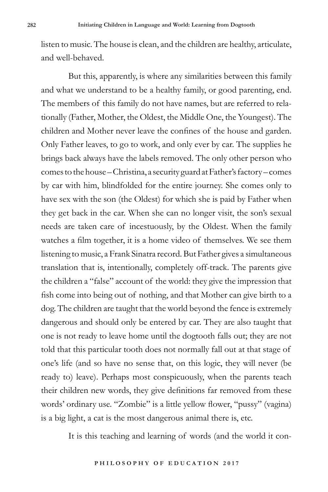listen to music. The house is clean, and the children are healthy, articulate, and well-behaved.

But this, apparently, is where any similarities between this family and what we understand to be a healthy family, or good parenting, end. The members of this family do not have names, but are referred to relationally (Father, Mother, the Oldest, the Middle One, the Youngest). The children and Mother never leave the confines of the house and garden. Only Father leaves, to go to work, and only ever by car. The supplies he brings back always have the labels removed. The only other person who comes to the house – Christina, a security guard at Father's factory – comes by car with him, blindfolded for the entire journey. She comes only to have sex with the son (the Oldest) for which she is paid by Father when they get back in the car. When she can no longer visit, the son's sexual needs are taken care of incestuously, by the Oldest. When the family watches a film together, it is a home video of themselves. We see them listening to music, a Frank Sinatra record. But Father gives a simultaneous translation that is, intentionally, completely off-track. The parents give the children a "false" account of the world: they give the impression that fish come into being out of nothing, and that Mother can give birth to a dog. The children are taught that the world beyond the fence is extremely dangerous and should only be entered by car. They are also taught that one is not ready to leave home until the dogtooth falls out; they are not told that this particular tooth does not normally fall out at that stage of one's life (and so have no sense that, on this logic, they will never (be ready to) leave). Perhaps most conspicuously, when the parents teach their children new words, they give definitions far removed from these words' ordinary use. "Zombie" is a little yellow flower, "pussy" (vagina) is a big light, a cat is the most dangerous animal there is, etc.

It is this teaching and learning of words (and the world it con-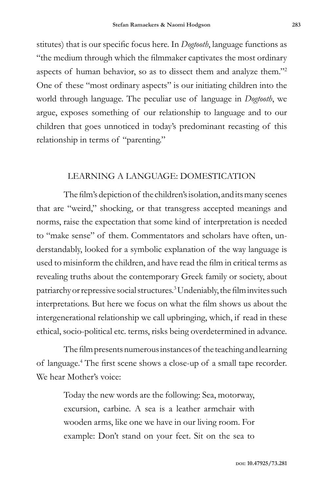stitutes) that is our specific focus here. In *Dogtooth*, language functions as "the medium through which the filmmaker captivates the most ordinary aspects of human behavior, so as to dissect them and analyze them."<sup>2</sup> One of these "most ordinary aspects" is our initiating children into the world through language. The peculiar use of language in *Dogtooth*, we argue, exposes something of our relationship to language and to our children that goes unnoticed in today's predominant recasting of this relationship in terms of "parenting."

## LEARNING A LANGUAGE: DOMESTICATION

The film's depiction of the children's isolation, and its many scenes that are "weird," shocking, or that transgress accepted meanings and norms, raise the expectation that some kind of interpretation is needed to "make sense" of them. Commentators and scholars have often, understandably, looked for a symbolic explanation of the way language is used to misinform the children, and have read the film in critical terms as revealing truths about the contemporary Greek family or society, about patriarchy or repressive social structures.<sup>3</sup> Undeniably, the film invites such interpretations. But here we focus on what the film shows us about the intergenerational relationship we call upbringing, which, if read in these ethical, socio-political etc. terms, risks being overdetermined in advance.

The film presents numerous instances of the teaching and learning of language.4 The first scene shows a close-up of a small tape recorder. We hear Mother's voice:

> Today the new words are the following: Sea, motorway, excursion, carbine. A sea is a leather armchair with wooden arms, like one we have in our living room. For example: Don't stand on your feet. Sit on the sea to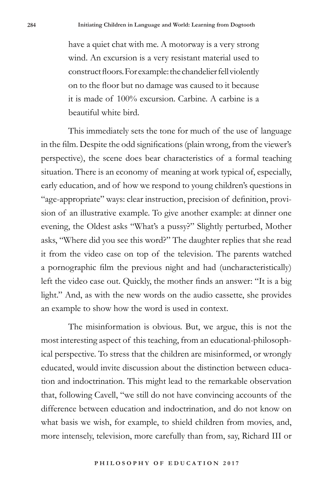have a quiet chat with me. A motorway is a very strong wind. An excursion is a very resistant material used to construct floors. For example: the chandelier fell violently on to the floor but no damage was caused to it because it is made of 100% excursion. Carbine. A carbine is a beautiful white bird.

This immediately sets the tone for much of the use of language in the film. Despite the odd significations (plain wrong, from the viewer's perspective), the scene does bear characteristics of a formal teaching situation. There is an economy of meaning at work typical of, especially, early education, and of how we respond to young children's questions in "age-appropriate" ways: clear instruction, precision of definition, provision of an illustrative example. To give another example: at dinner one evening, the Oldest asks "What's a pussy?" Slightly perturbed, Mother asks, "Where did you see this word?" The daughter replies that she read it from the video case on top of the television. The parents watched a pornographic film the previous night and had (uncharacteristically) left the video case out. Quickly, the mother finds an answer: "It is a big light." And, as with the new words on the audio cassette, she provides an example to show how the word is used in context.

The misinformation is obvious. But, we argue, this is not the most interesting aspect of this teaching, from an educational-philosophical perspective. To stress that the children are misinformed, or wrongly educated, would invite discussion about the distinction between education and indoctrination. This might lead to the remarkable observation that, following Cavell, "we still do not have convincing accounts of the difference between education and indoctrination, and do not know on what basis we wish, for example, to shield children from movies, and, more intensely, television, more carefully than from, say, Richard III or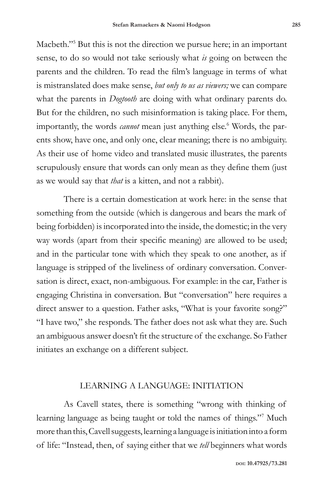Macbeth."<sup>5</sup> But this is not the direction we pursue here; in an important sense, to do so would not take seriously what *is* going on between the parents and the children. To read the film's language in terms of what is mistranslated does make sense, *but only to us as viewers;* we can compare what the parents in *Dogtooth* are doing with what ordinary parents do. But for the children, no such misinformation is taking place. For them, importantly, the words *cannot* mean just anything else.<sup>6</sup> Words, the parents show, have one, and only one, clear meaning; there is no ambiguity. As their use of home video and translated music illustrates, the parents scrupulously ensure that words can only mean as they define them (just as we would say that *that* is a kitten, and not a rabbit).

There is a certain domestication at work here: in the sense that something from the outside (which is dangerous and bears the mark of being forbidden) is incorporated into the inside, the domestic; in the very way words (apart from their specific meaning) are allowed to be used; and in the particular tone with which they speak to one another, as if language is stripped of the liveliness of ordinary conversation. Conversation is direct, exact, non-ambiguous. For example: in the car, Father is engaging Christina in conversation. But "conversation" here requires a direct answer to a question. Father asks, "What is your favorite song?" "I have two," she responds. The father does not ask what they are. Such an ambiguous answer doesn't fit the structure of the exchange. So Father initiates an exchange on a different subject.

#### LEARNING A LANGUAGE: INITIATION

As Cavell states, there is something "wrong with thinking of learning language as being taught or told the names of things."<sup>7</sup> Much more than this, Cavell suggests, learning a language is initiation into a form of life: "Instead, then, of saying either that we *tell* beginners what words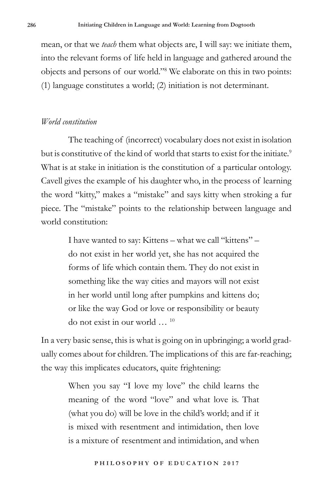mean, or that we *teach* them what objects are, I will say: we initiate them, into the relevant forms of life held in language and gathered around the objects and persons of our world."<sup>8</sup> We elaborate on this in two points: (1) language constitutes a world; (2) initiation is not determinant.

# *World constitution*

The teaching of (incorrect) vocabulary does not exist in isolation but is constitutive of the kind of world that starts to exist for the initiate.<sup>9</sup> What is at stake in initiation is the constitution of a particular ontology. Cavell gives the example of his daughter who, in the process of learning the word "kitty," makes a "mistake" and says kitty when stroking a fur piece. The "mistake" points to the relationship between language and world constitution:

> I have wanted to say: Kittens – what we call "kittens" – do not exist in her world yet, she has not acquired the forms of life which contain them. They do not exist in something like the way cities and mayors will not exist in her world until long after pumpkins and kittens do; or like the way God or love or responsibility or beauty do not exist in our world … 10

In a very basic sense, this is what is going on in upbringing; a world gradually comes about for children. The implications of this are far-reaching; the way this implicates educators, quite frightening:

> When you say "I love my love" the child learns the meaning of the word "love" and what love is. That (what you do) will be love in the child's world; and if it is mixed with resentment and intimidation, then love is a mixture of resentment and intimidation, and when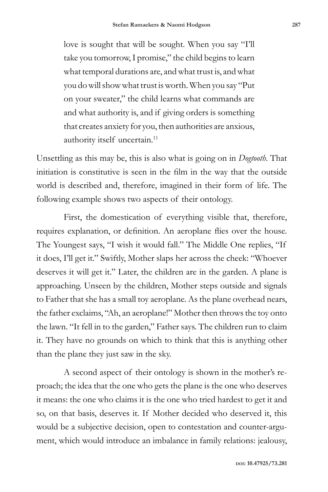love is sought that will be sought. When you say "I'll take you tomorrow, I promise," the child begins to learn what temporal durations are, and what trust is, and what you do will show what trust is worth. When you say "Put on your sweater," the child learns what commands are and what authority is, and if giving orders is something that creates anxiety for you, then authorities are anxious, authority itself uncertain.<sup>11</sup>

Unsettling as this may be, this is also what is going on in *Dogtooth*. That initiation is constitutive is seen in the film in the way that the outside world is described and, therefore, imagined in their form of life. The following example shows two aspects of their ontology.

First, the domestication of everything visible that, therefore, requires explanation, or definition. An aeroplane flies over the house. The Youngest says, "I wish it would fall." The Middle One replies, "If it does, I'll get it." Swiftly, Mother slaps her across the cheek: "Whoever deserves it will get it." Later, the children are in the garden. A plane is approaching. Unseen by the children, Mother steps outside and signals to Father that she has a small toy aeroplane. As the plane overhead nears, the father exclaims, "Ah, an aeroplane!" Mother then throws the toy onto the lawn. "It fell in to the garden," Father says. The children run to claim it. They have no grounds on which to think that this is anything other than the plane they just saw in the sky.

A second aspect of their ontology is shown in the mother's reproach; the idea that the one who gets the plane is the one who deserves it means: the one who claims it is the one who tried hardest to get it and so, on that basis, deserves it. If Mother decided who deserved it, this would be a subjective decision, open to contestation and counter-argument, which would introduce an imbalance in family relations: jealousy,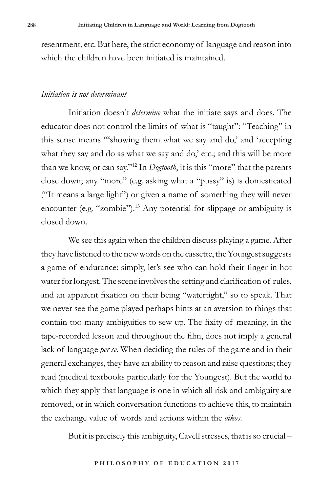resentment, etc. But here, the strict economy of language and reason into which the children have been initiated is maintained.

#### *Initiation is not determinant*

Initiation doesn't *determine* what the initiate says and does. The educator does not control the limits of what is "taught": "Teaching" in this sense means "'showing them what we say and do,' and 'accepting what they say and do as what we say and do,' etc.; and this will be more than we know, or can say."12 In *Dogtooth*, it is this "more" that the parents close down; any "more" (e.g. asking what a "pussy" is) is domesticated ("It means a large light") or given a name of something they will never encounter (e.g. "zombie").<sup>13</sup> Any potential for slippage or ambiguity is closed down.

We see this again when the children discuss playing a game. After they have listened to the new words on the cassette, the Youngest suggests a game of endurance: simply, let's see who can hold their finger in hot water for longest. The scene involves the setting and clarification of rules, and an apparent fixation on their being "watertight," so to speak. That we never see the game played perhaps hints at an aversion to things that contain too many ambiguities to sew up. The fixity of meaning, in the tape-recorded lesson and throughout the film, does not imply a general lack of language *per se*. When deciding the rules of the game and in their general exchanges, they have an ability to reason and raise questions; they read (medical textbooks particularly for the Youngest). But the world to which they apply that language is one in which all risk and ambiguity are removed, or in which conversation functions to achieve this, to maintain the exchange value of words and actions within the *oikos*.

But it is precisely this ambiguity, Cavell stresses, that is so crucial –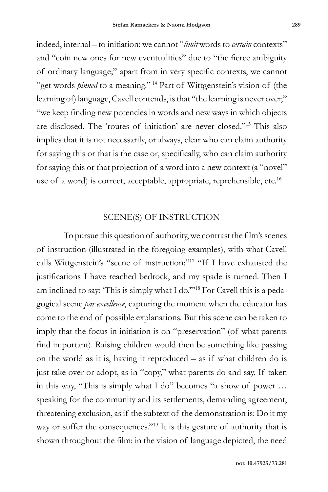indeed, internal – to initiation: we cannot "*limit* words to *certain* contexts" and "coin new ones for new eventualities" due to "the fierce ambiguity of ordinary language;" apart from in very specific contexts, we cannot "get words *pinned* to a meaning." <sup>14</sup> Part of Wittgenstein's vision of (the learning of) language, Cavell contends, is that "the learning is never over;" "we keep finding new potencies in words and new ways in which objects are disclosed. The 'routes of initiation' are never closed."15 This also implies that it is not necessarily, or always, clear who can claim authority for saying this or that is the case or, specifically, who can claim authority for saying this or that projection of a word into a new context (a "novel" use of a word) is correct, acceptable, appropriate, reprehensible, etc.<sup>16</sup>

# SCENE(S) OF INSTRUCTION

To pursue this question of authority, we contrast the film's scenes of instruction (illustrated in the foregoing examples), with what Cavell calls Wittgenstein's "scene of instruction:"<sup>17</sup> "If I have exhausted the justifications I have reached bedrock, and my spade is turned. Then I am inclined to say: 'This is simply what I do.'"18 For Cavell this is a pedagogical scene *par excellence*, capturing the moment when the educator has come to the end of possible explanations. But this scene can be taken to imply that the focus in initiation is on "preservation" (of what parents find important). Raising children would then be something like passing on the world as it is, having it reproduced – as if what children do is just take over or adopt, as in "copy," what parents do and say. If taken in this way, "This is simply what I do" becomes "a show of power … speaking for the community and its settlements, demanding agreement, threatening exclusion, as if the subtext of the demonstration is: Do it my way or suffer the consequences."<sup>19</sup> It is this gesture of authority that is shown throughout the film: in the vision of language depicted, the need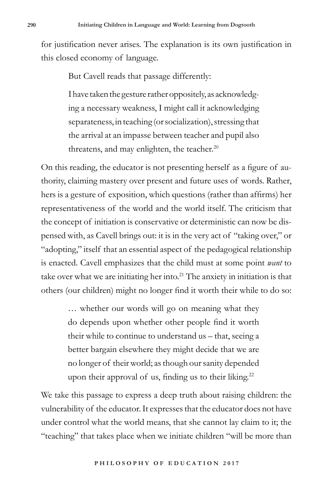for justification never arises. The explanation is its own justification in this closed economy of language.

But Cavell reads that passage differently:

I have taken the gesture rather oppositely, as acknowledging a necessary weakness, I might call it acknowledging separateness, in teaching (or socialization), stressing that the arrival at an impasse between teacher and pupil also threatens, and may enlighten, the teacher. $20$ 

On this reading, the educator is not presenting herself as a figure of authority, claiming mastery over present and future uses of words. Rather, hers is a gesture of exposition, which questions (rather than affirms) her representativeness of the world and the world itself. The criticism that the concept of initiation is conservative or deterministic can now be dispensed with, as Cavell brings out: it is in the very act of "taking over," or "adopting," itself that an essential aspect of the pedagogical relationship is enacted. Cavell emphasizes that the child must at some point *want* to take over what we are initiating her into.<sup>21</sup> The anxiety in initiation is that others (our children) might no longer find it worth their while to do so:

> … whether our words will go on meaning what they do depends upon whether other people find it worth their while to continue to understand us – that, seeing a better bargain elsewhere they might decide that we are no longer of their world; as though our sanity depended upon their approval of us, finding us to their liking.<sup>22</sup>

We take this passage to express a deep truth about raising children: the vulnerability of the educator. It expresses that the educator does not have under control what the world means, that she cannot lay claim to it; the "teaching" that takes place when we initiate children "will be more than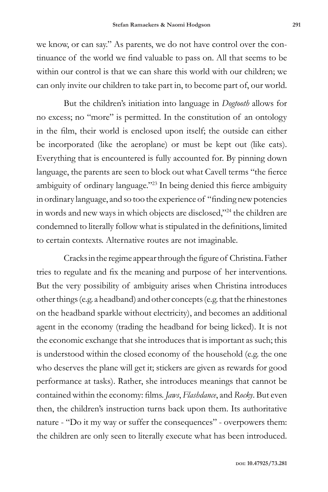we know, or can say." As parents, we do not have control over the continuance of the world we find valuable to pass on. All that seems to be within our control is that we can share this world with our children; we can only invite our children to take part in, to become part of, our world.

But the children's initiation into language in *Dogtooth* allows for no excess; no "more" is permitted. In the constitution of an ontology in the film, their world is enclosed upon itself; the outside can either be incorporated (like the aeroplane) or must be kept out (like cats). Everything that is encountered is fully accounted for. By pinning down language, the parents are seen to block out what Cavell terms "the fierce ambiguity of ordinary language."<sup>23</sup> In being denied this fierce ambiguity in ordinary language, and so too the experience of "finding new potencies in words and new ways in which objects are disclosed,"24 the children are condemned to literally follow what is stipulated in the definitions, limited to certain contexts. Alternative routes are not imaginable.

Cracks in the regime appear through the figure of Christina. Father tries to regulate and fix the meaning and purpose of her interventions. But the very possibility of ambiguity arises when Christina introduces other things (e.g. a headband) and other concepts (e.g. that the rhinestones on the headband sparkle without electricity), and becomes an additional agent in the economy (trading the headband for being licked). It is not the economic exchange that she introduces that is important as such; this is understood within the closed economy of the household (e.g. the one who deserves the plane will get it; stickers are given as rewards for good performance at tasks). Rather, she introduces meanings that cannot be contained within the economy: films. *Jaws*, *Flashdance*, and *Rocky*. But even then, the children's instruction turns back upon them. Its authoritative nature - "Do it my way or suffer the consequences" - overpowers them: the children are only seen to literally execute what has been introduced.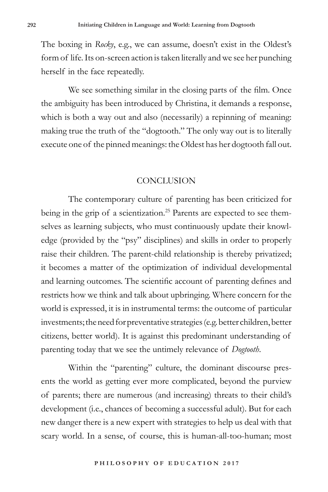The boxing in *Rocky*, e.g., we can assume, doesn't exist in the Oldest's form of life. Its on-screen action is taken literally and we see her punching herself in the face repeatedly.

We see something similar in the closing parts of the film. Once the ambiguity has been introduced by Christina, it demands a response, which is both a way out and also (necessarily) a repinning of meaning: making true the truth of the "dogtooth." The only way out is to literally execute one of the pinned meanings: the Oldest has her dogtooth fall out.

### **CONCLUSION**

The contemporary culture of parenting has been criticized for being in the grip of a scientization.<sup>25</sup> Parents are expected to see themselves as learning subjects, who must continuously update their knowledge (provided by the "psy" disciplines) and skills in order to properly raise their children. The parent-child relationship is thereby privatized; it becomes a matter of the optimization of individual developmental and learning outcomes. The scientific account of parenting defines and restricts how we think and talk about upbringing. Where concern for the world is expressed, it is in instrumental terms: the outcome of particular investments; the need for preventative strategies (e.g. better children, better citizens, better world). It is against this predominant understanding of parenting today that we see the untimely relevance of *Dogtooth*.

Within the "parenting" culture, the dominant discourse presents the world as getting ever more complicated, beyond the purview of parents; there are numerous (and increasing) threats to their child's development (i.e., chances of becoming a successful adult). But for each new danger there is a new expert with strategies to help us deal with that scary world. In a sense, of course, this is human-all-too-human; most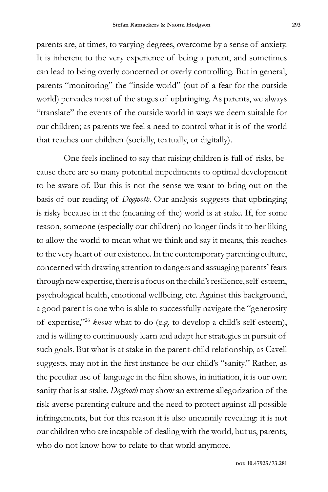parents are, at times, to varying degrees, overcome by a sense of anxiety. It is inherent to the very experience of being a parent, and sometimes can lead to being overly concerned or overly controlling. But in general, parents "monitoring" the "inside world" (out of a fear for the outside world) pervades most of the stages of upbringing. As parents, we always "translate" the events of the outside world in ways we deem suitable for our children; as parents we feel a need to control what it is of the world that reaches our children (socially, textually, or digitally).

One feels inclined to say that raising children is full of risks, because there are so many potential impediments to optimal development to be aware of. But this is not the sense we want to bring out on the basis of our reading of *Dogtooth*. Our analysis suggests that upbringing is risky because in it the (meaning of the) world is at stake. If, for some reason, someone (especially our children) no longer finds it to her liking to allow the world to mean what we think and say it means, this reaches to the very heart of our existence. In the contemporary parenting culture, concerned with drawing attention to dangers and assuaging parents' fears through new expertise, there is a focus on the child's resilience, self-esteem, psychological health, emotional wellbeing, etc. Against this background, a good parent is one who is able to successfully navigate the "generosity of expertise,"26 *knows* what to do (e.g. to develop a child's self-esteem), and is willing to continuously learn and adapt her strategies in pursuit of such goals. But what is at stake in the parent-child relationship, as Cavell suggests, may not in the first instance be our child's "sanity." Rather, as the peculiar use of language in the film shows, in initiation, it is our own sanity that is at stake. *Dogtooth* may show an extreme allegorization of the risk-averse parenting culture and the need to protect against all possible infringements, but for this reason it is also uncannily revealing: it is not our children who are incapable of dealing with the world, but us, parents, who do not know how to relate to that world anymore.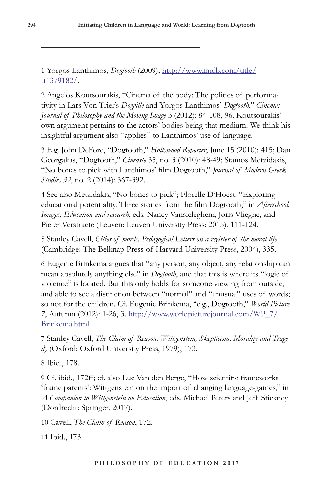1 Yorgos Lanthimos, *Dogtooth* (2009); http://www.imdb.com/title/ tt1379182/.

2 Angelos Koutsourakis, "Cinema of the body: The politics of performativity in Lars Von Trier's *Dogville* and Yorgos Lanthimos' *Dogtooth*," *Cinema: Journal of Philosophy and the Moving Image* 3 (2012): 84-108, 96. Koutsourakis' own argument pertains to the actors' bodies being that medium. We think his insightful argument also "applies" to Lanthimos' use of language.

3 E.g. John DeFore, "Dogtooth," *Hollywood Reporter*, June 15 (2010): 415; Dan Georgakas, "Dogtooth," *Cineaste* 35, no. 3 (2010): 48-49; Stamos Metzidakis, "No bones to pick with Lanthimos' film Dogtooth," *Journal of Modern Greek Studies 32*, no. 2 (2014): 367-392.

4 See also Metzidakis, "No bones to pick"; Florelle D'Hoest, "Exploring educational potentiality. Three stories from the film Dogtooth," in *Afterschool. Images, Education and research*, eds. Nancy Vansieleghem, Joris Vlieghe, and Pieter Verstraete (Leuven: Leuven University Press: 2015), 111-124.

5 Stanley Cavell, *Cities of words. Pedagogical Letters on a register of the moral life*  (Cambridge: The Belknap Press of Harvard University Press, 2004), 335.

6 Eugenie Brinkema argues that "any person, any object, any relationship can mean absolutely anything else" in *Dogtooth*, and that this is where its "logic of violence" is located. But this only holds for someone viewing from outside, and able to see a distinction between "normal" and "unusual" uses of words; so not for the children. Cf. Eugenie Brinkema, "e.g., Dogtooth," *World Picture 7*, Autumn (2012): 1-26, 3. http://www.worldpicturejournal.com/WP\_7/ Brinkema.html

7 Stanley Cavell, *The Claim of Reason: Wittgenstein, Skepticism, Morality and Tragedy* (Oxford: Oxford University Press, 1979), 173.

8 Ibid., 178.

9 Cf. ibid., 172ff; cf. also Luc Van den Berge, "How scientific frameworks 'frame parents': Wittgenstein on the import of changing language-games," in *A Companion to Wittgenstein on Education*, eds. Michael Peters and Jeff Stickney (Dordrecht: Springer, 2017).

10 Cavell, *The Claim of Reason*, 172.

11 Ibid., 173.